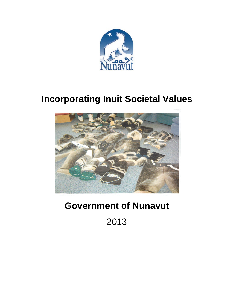

# **Incorporating Inuit Societal Values**



# **Government of Nunavut**

2013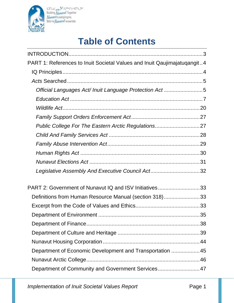

 $\begin{array}{l} b \supset \cap \supset \cup \supset \subseteq \bigtriangleup^c \land \supset \cap^c \subset \triangle \cap^c \subset \bigtriangleup^c\\ \text{Building } \bigwedge \bigcup \{ \bigtriangleup \in \mathbb{N} \} \\ \bigwedge \bigcup \{ \bigtriangleup \in \bigcup \{ \bigtriangle \in \mathbb{N} \} \} \\ \text{Båtir le} \bigwedge \bigcup \{ \bigtriangleup \in \mathbb{N} \} \end{array}$ 

# **Table of Contents**

| PART 1: References to Inuit Societal Values and Inuit Qaujimajatuqangit4 |  |
|--------------------------------------------------------------------------|--|
|                                                                          |  |
|                                                                          |  |
| Official Languages Act/ Inuit Language Protection Act5                   |  |
|                                                                          |  |
|                                                                          |  |
|                                                                          |  |
| Public College For The Eastern Arctic Regulations27                      |  |
|                                                                          |  |
|                                                                          |  |
|                                                                          |  |
|                                                                          |  |
| Legislative Assembly And Executive Council Act32                         |  |
| PART 2: Government of Nunavut IQ and ISV Initiatives33                   |  |
| Definitions from Human Resource Manual (section 318)33                   |  |
|                                                                          |  |
|                                                                          |  |
|                                                                          |  |
|                                                                          |  |
|                                                                          |  |
| Department of Economic Development and Transportation  45                |  |
|                                                                          |  |
| Department of Community and Government Services 47                       |  |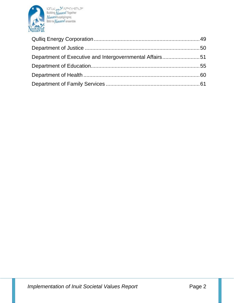

 $\begin{array}{l} b \supset \cap \supset \cup \supset \subseteq \bigtriangleup^c \land \supset \cap^c \subset \subseteq \cap^c \subset \supset \subseteq \subseteq \bigtriangleup^c \\ \text{Building } \bigwedge \{ \bigtriangleup \{ \text{log} \} \} \\ \text{Baitir le } \bigwedge \{ \bigtriangleup \{ \text{measurable} \} \} \end{array}$ 

| Department of Executive and Intergovernmental Affairs51 |  |
|---------------------------------------------------------|--|
|                                                         |  |
|                                                         |  |
|                                                         |  |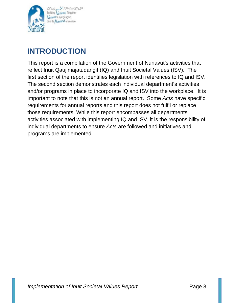

# **INTRODUCTION**

This report is a compilation of the Government of Nunavut's activities that reflect Inuit Qaujimajatuqangit (IQ) and Inuit Societal Values (ISV). The first section of the report identifies legislation with references to IQ and ISV. The second section demonstrates each individual department's activities and/or programs in place to incorporate IQ and ISV into the workplace. It is important to note that this is not an annual report. Some *Acts* have specific requirements for annual reports and this report does not fulfil or replace those requirements. While this report encompasses all departments activities associated with implementing IQ and ISV, it is the responsibility of individual departments to ensure *Acts* are followed and initiatives and programs are implemented.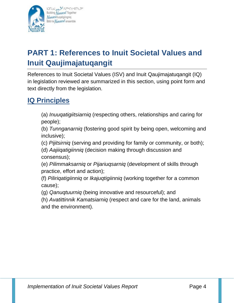

bJNJJ\_pa.<sup>35</sup>APR<4c191290 Building Nunavut Togethe Nunavulliuqatigiingniq Bâtir le *Numavut* ensemble

# **PART 1: References to Inuit Societal Values and Inuit Qaujimajatuqangit**

References to Inuit Societal Values (ISV) and Inuit Qaujimajatuqangit (IQ) in legislation reviewed are summarized in this section, using point form and text directly from the legislation.

# **IQ Principles**

(a) *Inuuqatigiitsiarniq* (respecting others, relationships and caring for people);

(b) *Tunnganarniq* (fostering good spirit by being open, welcoming and inclusive);

(c) *Pijitsirniq* (serving and providing for family or community, or both);

(d) *Aajiiqatigiinniq* (decision making through discussion and consensus);

(e) *Pilimmaksarniq* or *Pijariuqsarniq* (development of skills through practice, effort and action);

(f) *Piliriqatigiinniq* or *Ikajuqtigiinniq* (working together for a common cause);

(g) *Qanuqtuurniq* (being innovative and resourceful); and

(h) *Avatittinnik Kamatsiarniq* (respect and care for the land, animals and the environment).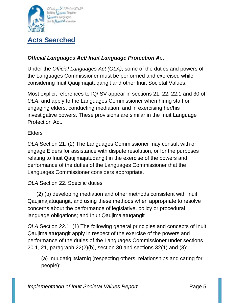

# *Official Languages Act/ Inuit Language Protection A*ct

Under the *Official Languages Act (OLA)*, some of the duties and powers of the Languages Commissioner must be performed and exercised while considering Inuit Qaujimajatuqangit and other Inuit Societal Values.

Most explicit references to IQ/ISV appear in sections 21, 22, 22.1 and 30 of *OLA*, and apply to the Languages Commissioner when hiring staff or engaging elders, conducting mediation, and in exercising her/his investigative powers. These provisions are similar in the Inuit Language Protection Act.

#### **Elders**

*OLA* Section 21. (2) The Languages Commissioner may consult with or engage Elders for assistance with dispute resolution, or for the purposes relating to Inuit Qaujimajatuqangit in the exercise of the powers and performance of the duties of the Languages Commissioner that the Languages Commissioner considers appropriate.

#### *OLA* Section 22. Specific duties

 (2) (b) developing mediation and other methods consistent with Inuit Qaujimajatuqangit, and using these methods when appropriate to resolve concerns about the performance of legislative, policy or procedural language obligations; and Inuit Qaujimajatuqangit

*OLA* Section 22.1. (1) The following general principles and concepts of Inuit Qaujimajatuqangit apply in respect of the exercise of the powers and performance of the duties of the Languages Commissioner under sections 20.1, 21, paragraph 22(2)(b), section 30 and sections 32(1) and (3):

(a) Inuuqatigiitsiarniq (respecting others, relationships and caring for people);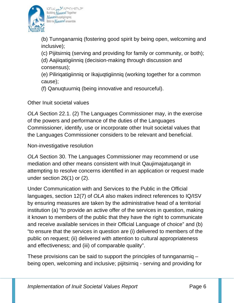

bDNJ\_pa SCAPRECCANESC Building Nunavut Together Nunavulliuqatigiingniq Bâtir le Numavuf ensemble

(b) Tunnganarniq (fostering good spirit by being open, welcoming and inclusive);

(c) Pijitsirniq (serving and providing for family or community, or both);

(d) Aajiiqatigiinniq (decision-making through discussion and consensus);

(e) Piliriqatigiinniq or Ikajuqtigiinniq (working together for a common cause);

(f) Qanuqtuurniq (being innovative and resourceful).

Other Inuit societal values

*OLA* Section 22.1. (2) The Languages Commissioner may, in the exercise of the powers and performance of the duties of the Languages Commissioner, identify, use or incorporate other Inuit societal values that the Languages Commissioner considers to be relevant and beneficial.

Non-investigative resolution

*OLA* Section 30. The Languages Commissioner may recommend or use mediation and other means consistent with Inuit Qaujimajatuqangit in attempting to resolve concerns identified in an application or request made under section 26(1) or (2).

Under Communication with and Services to the Public in the Official languages, section 12(7) of *OLA* also makes indirect references to IQ/ISV by ensuring measures are taken by the administrative head of a territorial institution (a) "to provide an active offer of the services in question, making it known to members of the public that they have the right to communicate and receive available services in their Official Language of choice" and (b) "to ensure that the services in question are (i) delivered to members of the public on request; (ii) delivered with attention to cultural appropriateness and effectiveness; and (iii) of comparable quality".

These provisions can be said to support the principles of tunnganarniq – being open, welcoming and inclusive; pijitsirniq - serving and providing for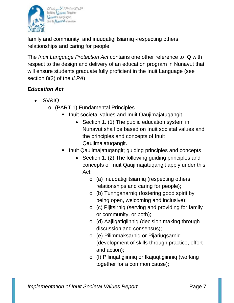

family and community; and inuuqatigiitsiarniq -respecting others, relationships and caring for people.

The *Inuit Language Protection Act* contains one other reference to IQ with respect to the design and delivery of an education program in Nunavut that will ensure students graduate fully proficient in the Inuit Language (see section 8(2) of the *ILPA*)

# *Education Act*

- ISV&IQ
	- o (PART 1) Fundamental Principles
		- **Inuit societal values and Inuit Qaujimajatuqangit** 
			- Section 1. (1) The public education system in Nunavut shall be based on Inuit societal values and the principles and concepts of Inuit Qaujimajatuqangit.
		- Inuit Qaujimajatuqangit; guiding principles and concepts
			- Section 1. (2) The following quiding principles and concepts of Inuit Qaujimajatuqangit apply under this Act:
				- o (a) Inuuqatigiitsiarniq (respecting others, relationships and caring for people);
				- o (b) Tunnganarniq (fostering good spirit by being open, welcoming and inclusive);
				- o (c) Pijitsirniq (serving and providing for family or community, or both);
				- o (d) Aajiiqatigiinniq (decision making through discussion and consensus);
				- o (e) Pilimmaksarniq or Pijariuqsarniq (development of skills through practice, effort and action);
				- o (f) Piliriqatigiinniq or Ikajuqtigiinniq (working together for a common cause);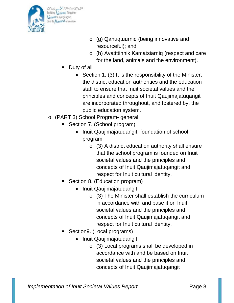

- o (g) Qanuqtuurniq (being innovative and resourceful); and
- o (h) Avatittinnik Kamatsiarniq (respect and care for the land, animals and the environment).
- Duty of all
	- Section 1. (3) It is the responsibility of the Minister, the district education authorities and the education staff to ensure that Inuit societal values and the principles and concepts of Inuit Qaujimajatuqangit are incorporated throughout, and fostered by, the public education system.
- o (PART 3) School Program- general
	- Section 7. (School program)
		- Inuit Qaujimajatuqangit, foundation of school program
			- o (3) A district education authority shall ensure that the school program is founded on Inuit societal values and the principles and concepts of Inuit Qaujimajatuqangit and respect for Inuit cultural identity.
	- Section 8. (Education program)
		- Inuit Qaujimajatuqangit
			- o (3) The Minister shall establish the curriculum in accordance with and base it on Inuit societal values and the principles and concepts of Inuit Qaujimajatuqangit and respect for Inuit cultural identity.
	- Section9. (Local programs)
		- Inuit Qaujimajatuqangit
			- o (3) Local programs shall be developed in accordance with and be based on Inuit societal values and the principles and concepts of Inuit Qaujimajatuqangit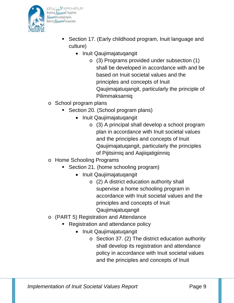

bJNJJ\_pa.<sup>35</sup>APR<4c191290 Building Nunavut Together **Nunavulliugatigiingniq** Bâtir le Numavuf ensemble

- **Section 17. (Early childhood program, Inuit language and** culture)
	- Inuit Qaujimajatuqangit
		- o (3) Programs provided under subsection (1) shall be developed in accordance with and be based on Inuit societal values and the principles and concepts of Inuit Qaujimajatuqangit, particularly the principle of Pilimmaksarniq
- o School program plans
	- Section 20. (School program plans)
		- Inuit Qaujimajatuqangit
			- o (3) A principal shall develop a school program plan in accordance with Inuit societal values and the principles and concepts of Inuit Qaujimajatuqangit, particularly the principles of Pijitsirniq and Aajiiqatigiinniq
- o Home Schooling Programs
	- Section 21. (home schooling program)
		- Inuit Qaujimajatuqangit
			- o (2) A district education authority shall supervise a home schooling program in accordance with Inuit societal values and the principles and concepts of Inuit Qaujimajatuqangit
- o (PART 5) Registration and Attendance
	- Registration and attendance policy
		- Inuit Qaujimajatuqangit
			- o Section 37. (2) The district education authority shall develop its registration and attendance policy in accordance with Inuit societal values and the principles and concepts of Inuit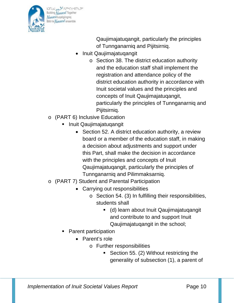

bandu og se varet et de Building Nunavut Together **Nunavulliugatigiingniq** Bâtir le *Numavut* ensemble

> Qaujimajatuqangit, particularly the principles of Tunnganarniq and Pijitsirniq.

- Inuit Qaujimajatuqangit
	- o Section 38. The district education authority and the education staff shall implement the registration and attendance policy of the district education authority in accordance with Inuit societal values and the principles and concepts of Inuit Qaujimajatuqangit, particularly the principles of Tunnganarniq and Pijitsirniq.
- o (PART 6) Inclusive Education
	- Inuit Qaujimajatuqangit
		- Section 52. A district education authority, a review board or a member of the education staff, in making a decision about adjustments and support under this Part, shall make the decision in accordance with the principles and concepts of Inuit Qaujimajatuqangit, particularly the principles of Tunnganarniq and Pilimmaksarniq.
- o (PART 7) Student and Parental Participation
	- Carrying out responsibilities
		- o Section 54. (3) In fulfilling their responsibilities, students shall
			- (d) learn about Inuit Qaujimajatuqangit and contribute to and support Inuit Qaujimajatuqangit in the school;
	- Parent participation
		- Parent's role
			- o Further responsibilities
				- Section 55. (2) Without restricting the generality of subsection (1), a parent of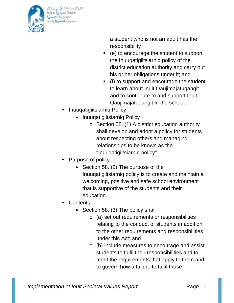

bJNJJ\_pa.<sup>35</sup>APR<4c191290 Building Nunavut Together **Nunavulliugatigiingniq** Bâtir le *Numavut* ensemble

> a student who is not an adult has the responsibility

- (e) to encourage the student to support the Inuuqatigiitsiarniq policy of the district education authority and carry out his or her obligations under it; and
- (f) to support and encourage the student to learn about Inuit Qaujimajatuqangit and to contribute to and support Inuit Qaujimajatuqangit in the school.
- Inuuqatigiitsiarniq Policy
	- Inuuqatigiitsiarniq Policy
		- o Section 58. (1) A district education authority shall develop and adopt a policy for students about respecting others and managing relationships to be known as the "Inuuqatigiitsiarniq policy".
- Purpose of policy
	- Section 58. (2) The purpose of the Inuuqatigiitsiarniq policy is to create and maintain a welcoming, positive and safe school environment that is supportive of the students and their education.
- **Contents** 
	- Section 58. (3) The policy shall
		- o (a) set out requirements or responsibilities relating to the conduct of students in addition to the other requirements and responsibilities under this Act; and
		- o (b) include measures to encourage and assist students to fulfil their responsibilities and to meet the requirements that apply to them and to govern how a failure to fulfil those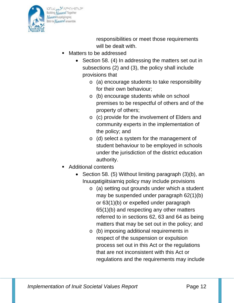

responsibilities or meet those requirements will be dealt with.

- Matters to be addressed
	- Section 58. (4) In addressing the matters set out in subsections (2) and (3), the policy shall include provisions that
		- o (a) encourage students to take responsibility for their own behaviour;
		- o (b) encourage students while on school premises to be respectful of others and of the property of others;
		- o (c) provide for the involvement of Elders and community experts in the implementation of the policy; and
		- o (d) select a system for the management of student behaviour to be employed in schools under the jurisdiction of the district education authority.
- Additional contents
	- Section 58. (5) Without limiting paragraph (3)(b), an Inuuqatigiitsiarniq policy may include provisions
		- o (a) setting out grounds under which a student may be suspended under paragraph 62(1)(b) or 63(1)(b) or expelled under paragraph 65(1)(b) and respecting any other matters referred to in sections 62, 63 and 64 as being matters that may be set out in the policy; and
		- o (b) imposing additional requirements in respect of the suspension or expulsion process set out in this Act or the regulations that are not inconsistent with this Act or regulations and the requirements may include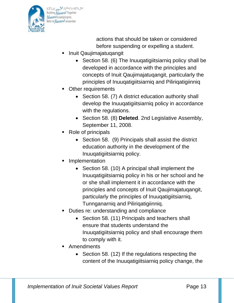

band of state of the book Building Nunavut Together **Nunavuliugatigiingnig** Bâtir le Numavuf ensemble

> actions that should be taken or considered before suspending or expelling a student.

- Inuit Qaujimajatuqangit
	- Section 58. (6) The Inuuqatigiitsiarniq policy shall be developed in accordance with the principles and concepts of Inuit Qaujimajatuqangit, particularly the principles of Inuuqatigiitsiarniq and Piliriqatigiinniq
- Other requirements
	- Section 58. (7) A district education authority shall develop the Inuuqatigiitsiarniq policy in accordance with the regulations.
	- Section 58. (8) **Deleted**. 2nd Legislative Assembly, September 11, 2008.
- Role of principals
	- Section 58. (9) Principals shall assist the district education authority in the development of the Inuuqatigiitsiarniq policy.
- Implementation
	- Section 58. (10) A principal shall implement the Inuuqatigiitsiarniq policy in his or her school and he or she shall implement it in accordance with the principles and concepts of Inuit Qaujimajatuqangit, particularly the principles of Inuuqatigiitsiarniq, Tunnganarniq and Piliriqatigiinniq.
- Duties re: understanding and compliance
	- Section 58. (11) Principals and teachers shall ensure that students understand the Inuuqatigiitsiarniq policy and shall encourage them to comply with it.
- **Amendments** 
	- Section 58. (12) If the regulations respecting the content of the Inuuqatigiitsiarniq policy change, the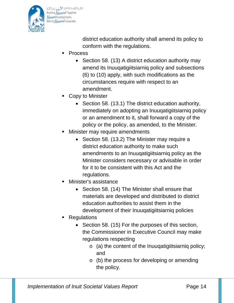

bJNJJ\_pa.<sup>35</sup>APR<4c191290 Building Nunavut Together **Nunavulliugatigiingniq** Bâtir le *Numavut*<sup>f</sup> ensemble

> district education authority shall amend its policy to conform with the regulations.

- Process
	- Section 58. (13) A district education authority may amend its Inuuqatigiitsiarniq policy and subsections (6) to (10) apply, with such modifications as the circumstances require with respect to an amendment.
- Copy to Minister
	- Section 58. (13.1) The district education authority, immediately on adopting an Inuuqatigiitsiarniq policy or an amendment to it, shall forward a copy of the policy or the policy, as amended, to the Minister.
- Minister may require amendments
	- Section 58. (13.2) The Minister may require a district education authority to make such amendments to an Inuuqatigiitsiarniq policy as the Minister considers necessary or advisable in order for it to be consistent with this Act and the regulations.
- Minister's assistance
	- Section 58. (14) The Minister shall ensure that materials are developed and distributed to district education authorities to assist them in the development of their Inuuqatigiitsiarniq policies
- **Regulations** 
	- Section 58. (15) For the purposes of this section, the Commissioner in Executive Council may make regulations respecting
		- o (a) the content of the Inuuqatigiitsiarniq policy; and
		- $\circ$  (b) the process for developing or amending the policy.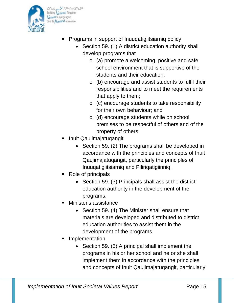

bJNJJ\_pa.<sup>35</sup>APR<4c191290 Building Nunavut Together **Nunavulliugatigiingniq** Bâtir le *Numavut* ensemble

- **Programs in support of Inuugatigiitsiarnig policy** 
	- Section 59. (1) A district education authority shall develop programs that
		- o (a) promote a welcoming, positive and safe school environment that is supportive of the students and their education;
		- o (b) encourage and assist students to fulfil their responsibilities and to meet the requirements that apply to them;
		- o (c) encourage students to take responsibility for their own behaviour; and
		- o (d) encourage students while on school premises to be respectful of others and of the property of others.
- Inuit Qaujimajatuqangit
	- Section 59. (2) The programs shall be developed in accordance with the principles and concepts of Inuit Qaujimajatuqangit, particularly the principles of Inuuqatigiitsiarniq and Piliriqatigiinniq.
- Role of principals
	- Section 59. (3) Principals shall assist the district education authority in the development of the programs.
- Minister's assistance
	- Section 59. (4) The Minister shall ensure that materials are developed and distributed to district education authorities to assist them in the development of the programs.
- **Implementation** 
	- Section 59. (5) A principal shall implement the programs in his or her school and he or she shall implement them in accordance with the principles and concepts of Inuit Qaujimajatuqangit, particularly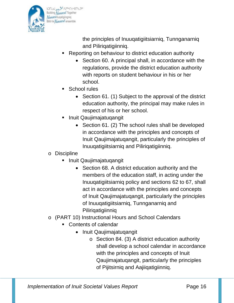

bDNJ\_pa SCAPRECCANESC Building Nunavut Together **Nunavulliugatigiingniq** Bâtir le Numavuf ensemble

> the principles of Inuuqatigiitsiarniq, Tunnganarniq and Piliriqatigiinniq.

- Reporting on behaviour to district education authority
	- Section 60. A principal shall, in accordance with the regulations, provide the district education authority with reports on student behaviour in his or her school.
- School rules
	- Section 61. (1) Subject to the approval of the district education authority, the principal may make rules in respect of his or her school.
- Inuit Qaujimajatuqangit
	- Section 61. (2) The school rules shall be developed in accordance with the principles and concepts of Inuit Qaujimajatuqangit, particularly the principles of Inuuqatigiitsiarniq and Piliriqatigiinniq.
- o Discipline
	- **Inuit Qaujimajatuqangit** 
		- Section 68. A district education authority and the members of the education staff, in acting under the Inuuqatigiitsiarniq policy and sections 62 to 67, shall act in accordance with the principles and concepts of Inuit Qaujimajatuqangit, particularly the principles of Inuuqatigiitsiarniq, Tunnganarniq and Piliriqatigiinniq
- o (PART 10) Instructional Hours and School Calendars
	- **Contents of calendar** 
		- Inuit Qaujimajatuqangit
			- o Section 84. (3) A district education authority shall develop a school calendar in accordance with the principles and concepts of Inuit Qaujimajatuqangit, particularly the principles of Pijitsirniq and Aajiiqatigiinniq.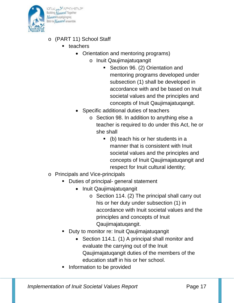

bJNJJ\_pa.<sup>35</sup>APR<4c191290 Building Nunavut Together **Nunavulliugatigiingniq** Bâtir le *Numavut* ensemble

- o (PART 11) School Staff
	- **teachers** 
		- Orientation and mentoring programs)
			- o Inuit Qaujimajatuqangit
				- Section 96. (2) Orientation and mentoring programs developed under subsection (1) shall be developed in accordance with and be based on Inuit societal values and the principles and concepts of Inuit Qaujimajatuqangit.
		- Specific additional duties of teachers
			- o Section 98. In addition to anything else a teacher is required to do under this Act, he or she shall
				- (b) teach his or her students in a manner that is consistent with Inuit societal values and the principles and concepts of Inuit Qaujimajatuqangit and respect for Inuit cultural identity;
- o Principals and Vice-principals
	- Duties of principal- general statement
		- Inuit Qaujimajatuqangit
			- o Section 114. (2) The principal shall carry out his or her duty under subsection (1) in accordance with Inuit societal values and the principles and concepts of Inuit Qaujimajatuqangit.
	- Duty to monitor re: Inuit Qaujimajatuqangit
		- Section 114.1. (1) A principal shall monitor and evaluate the carrying out of the Inuit Qaujimajatuqangit duties of the members of the education staff in his or her school.
	- Information to be provided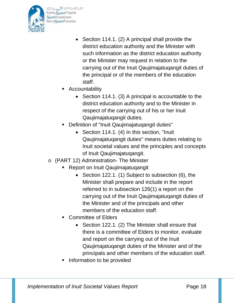

bDNJJ\_pa SCAPRCCCOMERC Building Nunavut Together **Nunavulliugatigiingniq** Bâtir le Nunavuf ensemble

- Section 114.1. (2) A principal shall provide the district education authority and the Minister with such information as the district education authority or the Minister may request in relation to the carrying out of the Inuit Qaujimajatuqangit duties of the principal or of the members of the education staff.
- Accountability
	- Section 114.1. (3) A principal is accountable to the district education authority and to the Minister in respect of the carrying out of his or her Inuit Qaujimajatuqangit duties.
- Definition of "Inuit Qaujimajatuqangit duties"
	- Section 114.1. (4) In this section, "Inuit Qaujimajatuqangit duties" means duties relating to Inuit societal values and the principles and concepts of Inuit Qaujimajatuqangit.
- o (PART 12) Administration- The Minister
	- Report on Inuit Qaujimajatuqangit
		- Section 122.1. (1) Subject to subsection (6), the Minister shall prepare and include in the report referred to in subsection 126(1) a report on the carrying out of the Inuit Qaujimajatuqangit duties of the Minister and of the principals and other members of the education staff.
	- Committee of Elders
		- Section 122.1. (2) The Minister shall ensure that there is a committee of Elders to monitor, evaluate and report on the carrying out of the Inuit Qaujimajatuqangit duties of the Minister and of the principals and other members of the education staff.
	- Information to be provided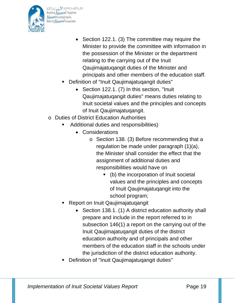

bDNJ\_pa SCAPRECCANESC Building Nunavut Together **Nunavuliugatigiingnig** Bâtir le Numavut ensemble

- Section 122.1. (3) The committee may require the Minister to provide the committee with information in the possession of the Minister or the department relating to the carrying out of the Inuit Qaujimajatuqangit duties of the Minister and principals and other members of the education staff.
- Definition of "Inuit Qaujimajatuqangit duties"
	- Section 122.1. (7) In this section, "Inuit Qaujimajatuqangit duties" means duties relating to Inuit societal values and the principles and concepts of Inuit Qaujimajatuqangit.
- o Duties of District Education Authorities
	- Additional duties and responsibilities)
		- Considerations
			- o Section 138. (3) Before recommending that a regulation be made under paragraph (1)(a), the Minister shall consider the effect that the assignment of additional duties and responsibilities would have on
				- (b) the incorporation of Inuit societal values and the principles and concepts of Inuit Qaujimajatuqangit into the school program;
	- Report on Inuit Qaujimajatuqangit
		- Section 138.1. (1) A district education authority shall prepare and include in the report referred to in subsection 146(1) a report on the carrying out of the Inuit Qaujimajatuqangit duties of the district education authority and of principals and other members of the education staff in the schools under the jurisdiction of the district education authority.
	- Definition of "Inuit Qaujimajatuqangit duties"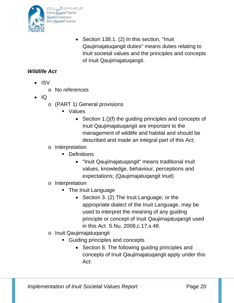

• Section 138.1. (2) In this section, "Inuit Qaujimajatuqangit duties" means duties relating to Inuit societal values and the principles and concepts of Inuit Qaujimajatuqangit.

# *Wildlife Act*

- ISV
	- o No references
- IQ
	- o (PART 1) General provisions
		- Values
			- Section 1.()(f) the guiding principles and concepts of Inuit Qaujimajatuqangit are important to the management of wildlife and habitat and should be described and made an integral part of this Act;
	- o Interpretation
		- **Definitions** 
			- "Inuit Qaujimajatuqangit" means traditional Inuit values, knowledge, behaviour, perceptions and expectations; (Qaujimajatuqangit Inuit)
	- o Interpretation
		- The Inuit Language
			- Section 3. (2) The Inuit Language, or the appropriate dialect of the Inuit Language, may be used to interpret the meaning of any guiding principle or concept of Inuit Qaujimajatuqangit used in this Act. S.Nu. 2008,c.17,s.48.
	- o Inuit Qaujimajatuqangit
		- Guiding principles and concepts
			- Section 8. The following guiding principles and concepts of Inuit Qaujimajatuqangit apply under this Act: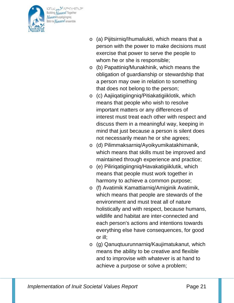

bJNJJ\_\_\_<sup>92</sup>^PRK+c9NEC9C Building Nunavut Together **Nunavulliugatigiingniq** Bâtir le Numavuf ensemble

- o (a) Pijitsirniq/Ihumaliukti, which means that a person with the power to make decisions must exercise that power to serve the people to whom he or she is responsible;
- o (b) Papattiniq/Munakhinik, which means the obligation of guardianship or stewardship that a person may owe in relation to something that does not belong to the person;
- o (c) Aajiiqatigiingniq/Pitiakatigiiklotik, which means that people who wish to resolve important matters or any differences of interest must treat each other with respect and discuss them in a meaningful way, keeping in mind that just because a person is silent does not necessarily mean he or she agrees;
- o (d) Pilimmaksarniq/Ayoikyumikatakhimanik, which means that skills must be improved and maintained through experience and practice;
- o (e) Piliriqatigiingniq/Havakatigiiklutik, which means that people must work together in harmony to achieve a common purpose;
- o (f) Avatimik Kamattiarniq/Amiginik Avatimik, which means that people are stewards of the environment and must treat all of nature holistically and with respect, because humans, wildlife and habitat are inter-connected and each person's actions and intentions towards everything else have consequences, for good or ill;
- o (g) Qanuqtuurunnarniq/Kaujimatukanut, which means the ability to be creative and flexible and to improvise with whatever is at hand to achieve a purpose or solve a problem;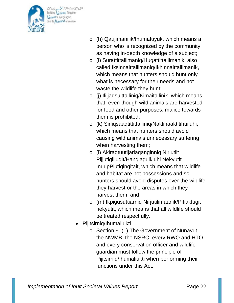

bJNJJ\_pa.<sup>35</sup>APR<4c191290 Building Nunavut Together **Nunavulliugatigiingniq** Bâtir le Numavuf ensemble

- o (h) Qaujimanilik/Ihumatuyuk, which means a person who is recognized by the community as having in-depth knowledge of a subject;
- o (i) Surattittailimaniq/Hugattittailimanik, also called Iksinnaittailimaniq/Ikhinnaittailimanik, which means that hunters should hunt only what is necessary for their needs and not waste the wildlife they hunt;
- o (j) Iliijaqsuittailiniq/Kimaitailinik, which means that, even though wild animals are harvested for food and other purposes, malice towards them is prohibited;
- o (k) Sirliqsaaqtittittailiniq/Naklihaaktitihuiluhi, which means that hunters should avoid causing wild animals unnecessary suffering when harvesting them;
- o (l) Akiraqtuutijariaqanginniq Nirjutiit Pijjutigillugit/Hangiaguikluhi Nekyutit InuupPiutigingitait, which means that wildlife and habitat are not possessions and so hunters should avoid disputes over the wildlife they harvest or the areas in which they harvest them; and
- o (m) Ikpigusuttiarniq Nirjutilimaanik/Pitiaklugit nekyutit, which means that all wildlife should be treated respectfully.
- Pijitsirniq/Ihumaliukti
	- o Section 9. (1) The Government of Nunavut, the NWMB, the NSRC, every RWO and HTO and every conservation officer and wildlife guardian must follow the principle of Pijitsirniq/Ihumaliukti when performing their functions under this Act.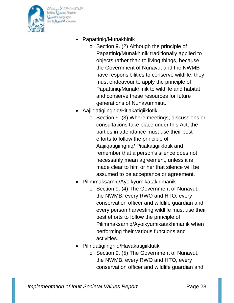

bJNJJ\_pa.<sup>35</sup>APR<4c191290 Building Nunavut Together **Nunavuliugatigiingnig** Bâtir le Numavuf ensemble

- Papattiniq/Munakhinik
	- o Section 9. (2) Although the principle of Papattiniq/Munakhinik traditionally applied to objects rather than to living things, because the Government of Nunavut and the NWMB have responsibilities to conserve wildlife, they must endeavour to apply the principle of Papattiniq/Munakhinik to wildlife and habitat and conserve these resources for future generations of Nunavummiut.
- Aajiiqatigiingniq/Pitiakatigiiklotik
	- o Section 9. (3) Where meetings, discussions or consultations take place under this Act, the parties in attendance must use their best efforts to follow the principle of Aajiiqatigiingniq/ Pitiakatigiiklotik and remember that a person's silence does not necessarily mean agreement, unless it is made clear to him or her that silence will be assumed to be acceptance or agreement.
- Pilimmaksarniq/Ayoikyumikatakhimanik
	- o Section 9. (4) The Government of Nunavut, the NWMB, every RWO and HTO, every conservation officer and wildlife guardian and every person harvesting wildlife must use their best efforts to follow the principle of Pilimmaksarniq/Ayoikyumikatakhimanik when performing their various functions and activities.
- Piliriqatigiingniq/Havakatigiiklutik
	- o Section 9. (5) The Government of Nunavut, the NWMB, every RWO and HTO, every conservation officer and wildlife guardian and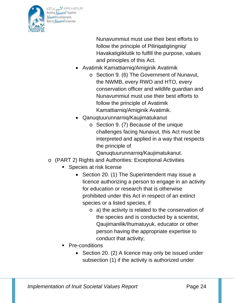

bJNJJ\_pa.<sup>35</sup>APR<4c191290 Building Nunavut Together **Nunavuliugatigiingnig** Bâtir le Numavut ensemble

> Nunavummiut must use their best efforts to follow the principle of Pilirigatigiingnig/ Havakatigiiklutik to fulfill the purpose, values and principles of this Act.

- Avatimik Kamattiarniq/Amiginik Avatimik
	- o Section 9. (6) The Government of Nunavut, the NWMB, every RWO and HTO, every conservation officer and wildlife guardian and Nunavummiut must use their best efforts to follow the principle of Avatimik Kamattiarniq/Amiginik Avatimik.
- Qanuqtuurunnarniq/Kaujimatukanut
	- o Section 9. (7) Because of the unique challenges facing Nunavut, this Act must be interpreted and applied in a way that respects the principle of

Qanuqtuurunnarniq/Kaujimatukanut.

- o (PART 2) Rights and Authorities: Exceptional Activities
	- Species at risk license
		- Section 20. (1) The Superintendent may issue a licence authorizing a person to engage in an activity for education or research that is otherwise prohibited under this Act in respect of an extinct species or a listed species, if
			- o a) the activity is related to the conservation of the species and is conducted by a scientist, Qaujimanilik/Ihumatuyuk, educator or other person having the appropriate expertise to conduct that activity;
	- Pre-conditions
		- Section 20. (2) A licence may only be issued under subsection (1) if the activity is authorized under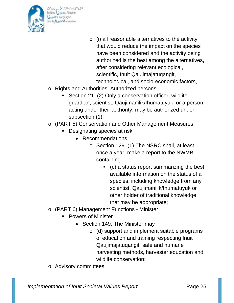

bDNJ\_pa SCAPRECCANESC Building Nunavut Together **Nunavulliugatigiingniq** Bâtir le *Numavut* ensemble

- o (i) all reasonable alternatives to the activity that would reduce the impact on the species have been considered and the activity being authorized is the best among the alternatives, after considering relevant ecological, scientific, Inuit Qaujimajatuqangit, technological, and socio-economic factors,
- o Rights and Authorities: Authorized persons
	- Section 21. (2) Only a conservation officer, wildlife guardian, scientist, Qaujimanilik/Ihumatuyuk, or a person acting under their authority, may be authorized under subsection (1).
- o (PART 5) Conservation and Other Management Measures
	- **Designating species at risk** 
		- Recommendations
			- o Section 129. (1) The NSRC shall, at least once a year, make a report to the NWMB containing
				- $\bullet$  (c) a status report summarizing the best available information on the status of a species, including knowledge from any scientist, Qaujimanilik/Ihumatuyuk or other holder of traditional knowledge that may be appropriate;
- o (PART 6) Management Functions Minister
	- **Powers of Minister** 
		- Section 149. The Minister may
			- o (d) support and implement suitable programs of education and training respecting Inuit Qaujimajatuqangit, safe and humane harvesting methods, harvester education and wildlife conservation;
- o Advisory committees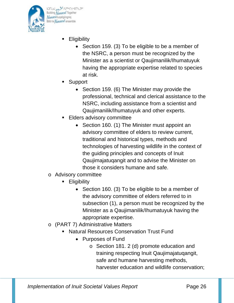

bDNJJ\_pa SCAPRCCCOMERC Building Nunavut Together **Nunavulliugatigiingniq** Bâtir le Numavut ensemble

- **Eligibility** 
	- Section 159. (3) To be eligible to be a member of the NSRC, a person must be recognized by the Minister as a scientist or Qaujimanilik/Ihumatuyuk having the appropriate expertise related to species at risk.
- Support
	- Section 159. (6) The Minister may provide the professional, technical and clerical assistance to the NSRC, including assistance from a scientist and Qaujimanilik/Ihumatuyuk and other experts.
- Elders advisory committee
	- Section 160. (1) The Minister must appoint an advisory committee of elders to review current, traditional and historical types, methods and technologies of harvesting wildlife in the context of the guiding principles and concepts of Inuit Qaujimajatuqangit and to advise the Minister on those it considers humane and safe.
- o Advisory committee
	- **Eligibility** 
		- Section 160. (3) To be eligible to be a member of the advisory committee of elders referred to in subsection (1), a person must be recognized by the Minister as a Qaujimanilik/Ihumatuyuk having the appropriate expertise.
- o (PART 7) Administrative Matters
	- Natural Resources Conservation Trust Fund
		- Purposes of Fund
			- o Section 181. 2 (d) promote education and training respecting Inuit Qaujimajatuqangit, safe and humane harvesting methods, harvester education and wildlife conservation;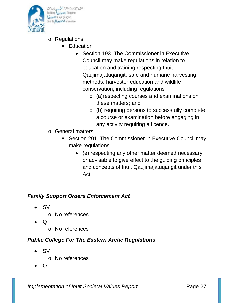

on Schameredness JCNG Building Nunavut Together Nunavulliuqatigiingniq sätir le Numavut ensemble

- o Regulations
	- **Education** 
		- Section 193. The Commissioner in Executive Council may make regulations in relation to education and training respecting Inuit Qaujimajatuqangit, safe and humane harvesting methods, harvester education and wildlife conservation, including regulations
			- o (a)respecting courses and examinations on these matters; and
			- o (b) requiring persons to successfully complete a course or examination before engaging in any activity requiring a licence.
- o General matters
	- **Section 201. The Commissioner in Executive Council may** make regulations
		- (e) respecting any other matter deemed necessary or advisable to give effect to the guiding principles and concepts of Inuit Qaujimajatuqangit under this Act;

# *Family Support Orders Enforcement Act*

- ISV
	- o No references
- IQ
	- o No references

# *Public College For The Eastern Arctic Regulations*

- ISV
	- o No references
- IQ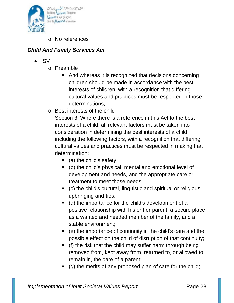

o No references

# *Child And Family Services Act*

- ISV
	- o Preamble
		- And whereas it is recognized that decisions concerning children should be made in accordance with the best interests of children, with a recognition that differing cultural values and practices must be respected in those determinations;
	- o Best interests of the child

Section 3. Where there is a reference in this Act to the best interests of a child, all relevant factors must be taken into consideration in determining the best interests of a child including the following factors, with a recognition that differing cultural values and practices must be respected in making that determination:

- $\blacksquare$  (a) the child's safety;
- (b) the child's physical, mental and emotional level of development and needs, and the appropriate care or treatment to meet those needs;
- (c) the child's cultural, linguistic and spiritual or religious upbringing and ties;
- (d) the importance for the child's development of a positive relationship with his or her parent, a secure place as a wanted and needed member of the family, and a stable environment;
- (e) the importance of continuity in the child's care and the possible effect on the child of disruption of that continuity;
- (f) the risk that the child may suffer harm through being removed from, kept away from, returned to, or allowed to remain in, the care of a parent;
- (g) the merits of any proposed plan of care for the child;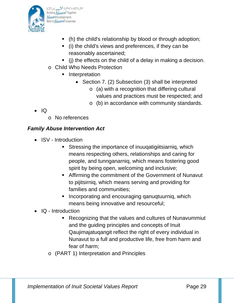

bDNJ\_pa SCAPRECCANESC Building Nunavut Together **Nunavulliugatigiingniq** Bâtir le Numavuf ensemble

- (h) the child's relationship by blood or through adoption;
- (i) the child's views and preferences, if they can be reasonably ascertained;
- $\blacksquare$  (i) the effects on the child of a delay in making a decision.
- o Child Who Needs Protection
	- **I** Interpretation
		- Section 7. (2) Subsection (3) shall be interpreted
			- o (a) with a recognition that differing cultural values and practices must be respected; and
			- o (b) in accordance with community standards.

- IQ
- o No references

# *Family Abuse Intervention Act*

- ISV Introduction
	- Stressing the importance of inuuqatigiitsiarniq, which means respecting others, relationships and caring for people, and tunnganarniq, which means fostering good spirit by being open, welcoming and inclusive;
	- Affirming the commitment of the Government of Nunavut to pijitsirniq, which means serving and providing for families and communities;
	- **Incorporating and encouraging qanuqtuurniq, which** means being innovative and resourceful;
- IQ Introduction
	- Recognizing that the values and cultures of Nunavummiut and the guiding principles and concepts of Inuit Qaujimajatuqangit reflect the right of every individual in Nunavut to a full and productive life, free from harm and fear of harm;
	- o (PART 1) Interpretation and Principles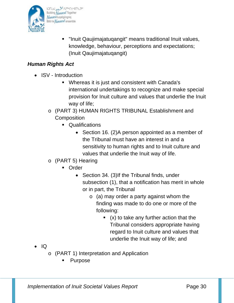

 "Inuit Qaujimajatuqangit" means traditional Inuit values, knowledge, behaviour, perceptions and expectations; (Inuit Qaujimajatuqangit)

# *Human Rights Act*

- ISV Introduction
	- Whereas it is just and consistent with Canada's international undertakings to recognize and make special provision for Inuit culture and values that underlie the Inuit way of life;
	- o (PART 3) HUMAN RIGHTS TRIBUNAL Establishment and **Composition** 
		- Qualifications
			- Section 16. (2)A person appointed as a member of the Tribunal must have an interest in and a sensitivity to human rights and to Inuit culture and values that underlie the Inuit way of life.
	- o (PART 5) Hearing
		- **Drder** 
			- Section 34. (3)If the Tribunal finds, under subsection (1), that a notification has merit in whole or in part, the Tribunal
				- $\circ$  (a) may order a party against whom the finding was made to do one or more of the following:
					- $(x)$  to take any further action that the Tribunal considers appropriate having regard to Inuit culture and values that underlie the Inuit way of life; and

- IQ
	- o (PART 1) Interpretation and Application
		- Purpose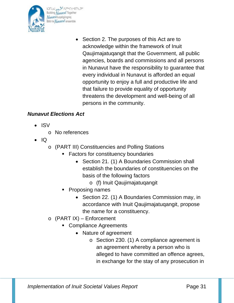

band of state of the book Building Nunavut Together **Nunavulliugatigiingniq** Bâtir le Numavut ensemble

> • Section 2. The purposes of this Act are to acknowledge within the framework of Inuit Qaujimajatuqangit that the Government, all public agencies, boards and commissions and all persons in Nunavut have the responsibility to guarantee that every individual in Nunavut is afforded an equal opportunity to enjoy a full and productive life and that failure to provide equality of opportunity threatens the development and well-being of all persons in the community.

# *Nunavut Elections Act*

- ISV
	- o No references
- IQ
	- o (PART III) Constituencies and Polling Stations
		- **Factors for constituency boundaries** 
			- Section 21. (1) A Boundaries Commission shall establish the boundaries of constituencies on the basis of the following factors
				- o (f) Inuit Qaujimajatuqangit
		- Proposing names
			- Section 22. (1) A Boundaries Commission may, in accordance with Inuit Qaujimajatuqangit, propose the name for a constituency.
	- o (PART IX) Enforcement
		- **Compliance Agreements** 
			- Nature of agreement
				- o Section 230. (1) A compliance agreement is an agreement whereby a person who is alleged to have committed an offence agrees, in exchange for the stay of any prosecution in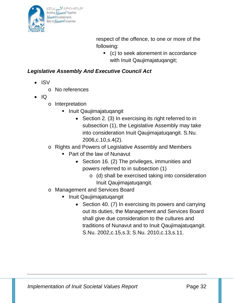

respect of the offence, to one or more of the following:

 (c) to seek atonement in accordance with Inuit Qaujimajatuqangit;

### *Legislative Assembly And Executive Council Act*

- ISV
	- o No references
- IQ
	- o Interpretation
		- Inuit Qaujimajatuqangit
			- Section 2. (3) In exercising its right referred to in subsection (1), the Legislative Assembly may take into consideration Inuit Qaujimajatuqangit. S.Nu. 2006,c.10,s.4(2).
	- o Rights and Powers of Legislative Assembly and Members
		- Part of the law of Nunavut
			- Section 16. (2) The privileges, immunities and powers referred to in subsection (1)
				- o (d) shall be exercised taking into consideration Inuit Qaujimajatuqangit.
	- o Management and Services Board
		- **Inuit Qaujimajatuqangit** 
			- Section 40. (7) In exercising its powers and carrying out its duties, the Management and Services Board shall give due consideration to the cultures and traditions of Nunavut and to Inuit Qaujimajatuqangit. S.Nu. 2002,c.15,s.3; S.Nu. 2010,c.13,s.11.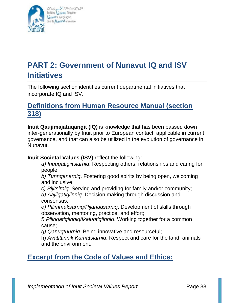

bDNU pa SCAPACCOMERC Building Nunavut Together **Nunavuliugatigiingnig** Bâtir le Numavut ensemble

# **PART 2: Government of Nunavut IQ and ISV Initiatives**

The following section identifies current departmental initiatives that incorporate IQ and ISV.

# **Definitions from Human Resource Manual (section 318)**

**Inuit Qaujimajatuqangit (IQ)** is knowledge that has been passed down inter-generationally by Inuit prior to European contact, applicable in current governance, and that can also be utilized in the evolution of governance in Nunavut.

**Inuit Societal Values (ISV)** reflect the following:

*a) Inuuqatigiitsiarniq*. Respecting others, relationships and caring for people;

*b) Tunnganarniq*. Fostering good spirits by being open, welcoming and inclusive;

*c) Pijitsirniq*. Serving and providing for family and/or community;

*d) Aajiiqatigiinniq*. Decision making through discussion and consensus;

*e) Pilimmaksarniq/Pijariuqsarniq*. Development of skills through observation, mentoring, practice, and effort;

*f) Piliriqatigiinniq/Ikajuqtigiinniq*. Working together for a common cause;

*g) Qanuqtuurniq*. Being innovative and resourceful;

h) *Avatittinnik Kamatsiarniq*. Respect and care for the land, animals and the environment.

# **Excerpt from the Code of Values and Ethics:**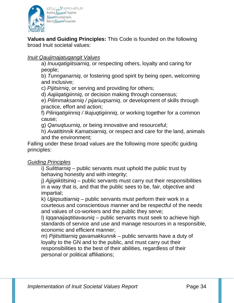

**Values and Guiding Principles:** This Code is founded on the following broad Inuit societal values:

#### *Inuit Qaujimajatuqangit Values*

a) *Inuuqatigiitsiarniq*, or respecting others, loyalty and caring for people;

b) *Tunnganarniq*, or fostering good spirit by being open, welcoming and inclusive;

c) *Pijitsirniq*, or serving and providing for others;

d) *Aajiiqatigiinniq*, or decision making through consensus;

e) *Pilimmaksarniq / pijariuqsarniq*, or development of skills through practice, effort and action;

f) *Piliriqatigiinniq / Ikajuqtigiinniq*, or working together for a common cause;

g) *Qanuqtuurniq*, or being innovative and resourceful;

h) *Avatittinnik Kamatsiarniq*, or respect and care for the land, animals and the environment;

Falling under these broad values are the following more specific guiding principles:

#### *Guiding Principles*

i) *Sulittiarniq* – public servants must uphold the public trust by behaving honestly and with integrity;

j) *Ajjigiiktitsiniq* – public servants must carry out their responsibilities in a way that is, and that the public sees to be, fair, objective and impartial;

k) *Ujjiqsuttiarniq* – public servants must perform their work in a courteous and conscientious manner and be respectful of the needs and values of co-workers and the public they serve;

l) *Iqqanaijaqtitiavauniq* – public servants must seek to achieve high standards of service and use and manage resources in a responsible, economic and efficient manner;

m) *Pijitsittiarniq gavamakkunnik* – public servants have a duty of loyalty to the GN and to the public, and must carry out their responsibilities to the best of their abilities, regardless of their personal or political affiliations;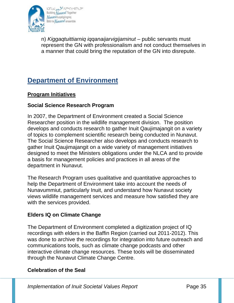

bDNJJ\_pa SCAPRCCCOMERC Building Nunavut Together Nunavulluqatigiingniq Bâtir le *Numavut* ensemble

n) *Kiggaqtuittiarniq iqqanaijarvigijaminut* – public servants must represent the GN with professionalism and not conduct themselves in a manner that could bring the reputation of the GN into disrepute.

# **Department of Environment**

#### **Program Initiatives**

#### **Social Science Research Program**

In 2007, the Department of Environment created a Social Science Researcher position in the wildlife management division. The position develops and conducts research to gather Inuit Qaujimajangit on a variety of topics to complement scientific research being conducted in Nunavut. The Social Science Researcher also develops and conducts research to gather Inuit Qaujimajangit on a wide variety of management initiatives designed to meet the Ministers obligations under the NLCA and to provide a basis for management policies and practices in all areas of the department in Nunavut.

The Research Program uses qualitative and quantitative approaches to help the Department of Environment take into account the needs of Nunavummiut, particularly Inuit, and understand how Nunavut society views wildlife management services and measure how satisfied they are with the services provided.

#### **Elders IQ on Climate Change**

The Department of Environment completed a digitization project of IQ recordings with elders in the Baffin Region (carried out 2011-2012). This was done to archive the recordings for integration into future outreach and communications tools, such as climate change podcasts and other interactive climate change resources. These tools will be disseminated through the Nunavut Climate Change Centre.

#### **Celebration of the Seal**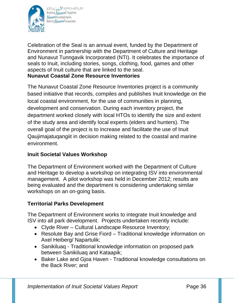

bDNJ\_pa SCAPRCCCOMERC Building Nunavut Together Nunavulluqatigiingniq Bâtir le Numavuf ensemble

Celebration of the Seal is an annual event, funded by the Department of Environment in partnership with the Department of Culture and Heritage and Nunavut Tunngavik Incorporated (NTI). It celebrates the importance of seals to Inuit, including stories, songs, clothing, food, games and other aspects of Inuit culture that are linked to the seal. **Nunavut Coastal Zone Resource Inventories** 

The Nunavut Coastal Zone Resource Inventories project is a community based initiative that records, compiles and publishes Inuit knowledge on the local coastal environment, for the use of communities in planning, development and conservation. During each inventory project, the department worked closely with local HTOs to identify the size and extent of the study area and identify local experts (elders and hunters). The overall goal of the project is to increase and facilitate the use of Inuit Qaujimajatuqangiit in decision making related to the coastal and marine environment.

### **Inuit Societal Values Workshop**

The Department of Environment worked with the Department of Culture and Heritage to develop a workshop on integrating ISV into environmental management. A pilot workshop was held in December 2012; results are being evaluated and the department is considering undertaking similar workshops on an on-going basis.

# **Territorial Parks Development**

The Department of Environment works to integrate Inuit knowledge and ISV into all park development. Projects undertaken recently include:

- Clyde River Cultural Landscape Resource Inventory;
- Resolute Bay and Grise Fiord Traditional knowledge information on Axel Heiberg/ Napartulik;
- Sanikiluaq Traditional knowledge information on proposed park between Sanikiluaq and Kataapik;
- Baker Lake and Gjoa Haven Traditional knowledge consultations on the Back River; and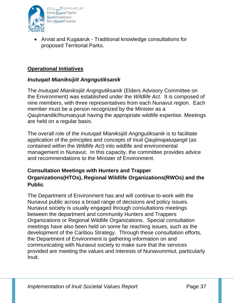

• Arviat and Kugaaruk - Traditional knowledge consultations for proposed Territorial Parks.

#### **Operational Initiatives**

#### *Inutuqait Mianiksijiit Angngutiksanik*

The *Inutuqait Mianiksijiit Angngutiksanik* (Elders Advisory Committee on the Environment) was established under the *Wildlife Act.* It is composed of nine members, with three representatives from each Nunavut region. Each member must be a person recognized by the Minister as a *Qaujimanilik/Ihumatuyuk* having the appropriate wildlife expertise. Meetings are held on a regular basis.

The overall role of the *Inutuqait Mianiksijiit Angngutiksanik* is to facilitate application of the principles and concepts of *Inuit Qaujimajatuqangit* (as contained within the *Wildlife Act*) into wildlife and environmental management in Nunavut. In this capacity, the committee provides advice and recommendations to the Minister of Environment.

### **Consultation Meetings with Hunters and Trapper Organizations(HTOs), Regional Wildlife Organizations(RWOs) and the Public**

The Department of Environment has and will continue to work with the Nunavut public across a broad range of decisions and policy issues. Nunavut society is usually engaged through consultations meetings between the department and community Hunters and Trappers Organizations or Regional Wildlife Organizations. Special consultation meetings have also been held on some far reaching issues, such as the development of the Caribou Strategy. Through these consultation efforts, the Department of Environment is gathering information on and communicating with Nunavut society to make sure that the services provided are meeting the values and interests of Nunavummiut, particularly Inuit.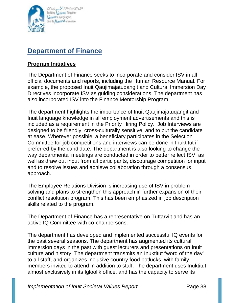

# **Department of Finance**

#### **Program Initiatives**

The Department of Finance seeks to incorporate and consider ISV in all official documents and reports, including the Human Resource Manual. For example, the proposed Inuit Qaujimajatuqangit and Cultural Immersion Day Directives incorporate ISV as guiding considerations. The department has also incorporated ISV into the Finance Mentorship Program.

The department highlights the importance of Inuit Qaujimajatuqangit and Inuit language knowledge in all employment advertisements and this is included as a requirement in the Priority Hiring Policy. Job Interviews are designed to be friendly, cross-culturally sensitive, and to put the candidate at ease. Wherever possible, a beneficiary participates in the Selection Committee for job competitions and interviews can be done in Inuktitut if preferred by the candidate. The department is also looking to change the way departmental meetings are conducted in order to better reflect ISV, as well as draw out input from all participants, discourage competition for input and to resolve issues and achieve collaboration through a consensus approach.

The Employee Relations Division is increasing use of ISV in problem solving and plans to strengthen this approach in further expansion of their conflict resolution program. This has been emphasized in job description skills related to the program.

The Department of Finance has a representative on Tuttarviit and has an active IQ Committee with co-chairpersons.

The department has developed and implemented successful IQ events for the past several seasons. The department has augmented its cultural immersion days in the past with guest lecturers and presentations on Inuit culture and history. The department transmits an Inuktitut "word of the day" to all staff, and organizes inclusive country food potlucks, with family members invited to attend in addition to staff. The department uses Inuktitut almost exclusively in its Igloolik office, and has the capacity to serve its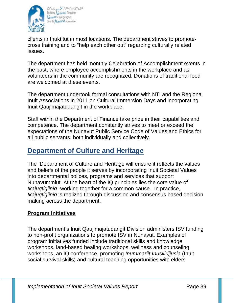

bDNJJ\_pa SCAPRCCCOMERC Building Nunavut Together Nunavulluqatigiingniq Bâtir le Numavuf ensemble

clients in Inuktitut in most locations. The department strives to promotecross training and to "help each other out" regarding culturally related issues.

The department has held monthly Celebration of Accomplishment events in the past, where employee accomplishments in the workplace and as volunteers in the community are recognized. Donations of traditional food are welcomed at these events.

The department undertook formal consultations with NTI and the Regional Inuit Associations in 2011 on Cultural Immersion Days and incorporating Inuit Qaujimajatuqangit in the workplace.

Staff within the Department of Finance take pride in their capabilities and competence. The department constantly strives to meet or exceed the expectations of the Nunavut Public Service Code of Values and Ethics for all public servants, both individually and collectively.

# **Department of Culture and Heritage**

The Department of Culture and Heritage will ensure it reflects the values and beliefs of the people it serves by incorporating Inuit Societal Values into departmental polices, programs and services that support Nunavummiut. At the heart of the IQ principles lies the core value of *Ikajuqtigiiniq* -working together for a common cause. In practice, *Ikajuqtigiiniq* is realized through discussion and consensus based decision making across the department.

# **Program Initiatives**

The department's Inuit Qaujimajatuqangit Division administers ISV funding to non-profit organizations to promote ISV in Nunavut. Examples of program initiatives funded include traditional skills and knowledge workshops, land-based healing workshops, wellness and counseling workshops, an IQ conference, promoting *Inummariit Inusilirijjusia* (Inuit social survival skills) and cultural teaching opportunities with elders.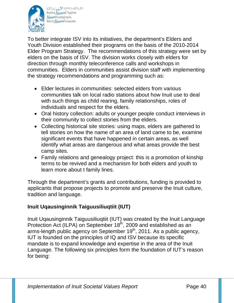

bDNJ\_pa SCAPRECCANESC Building Nunavut Together Nunavulliugatigiingniq Bâtir le Numavuf ensemble

To better integrate ISV into its initiatives, the department's Elders and Youth Division established their programs on the basis of the 2010-2014 Elder Program Strategy. The recommendations of this strategy were set by elders on the basis of ISV. The division works closely with elders for direction through monthly teleconference calls and workshops in communities. Elders in communities assist division staff with implementing the strategy recommendations and programming such as:

- Elder lectures in communities: selected elders from various communities talk on local radio stations about how Inuit use to deal with such things as child rearing, family relationships, roles of individuals and respect for the elders.
- Oral history collection: adults or younger people conduct interviews in their community to collect stories from the elders.
- Collecting historical site stories: using maps, elders are gathered to tell stories on how the name of an area of land came to be, examine significant events that have happened in certain areas, as well identify what areas are dangerous and what areas provide the best camp sites.
- Family relations and genealogy project: this is a promotion of kinship terms to be revived and a mechanism for both elders and youth to learn more about t family lines.

Through the department's grants and contributions, funding is provided to applicants that propose projects to promote and preserve the Inuit culture, tradition and language.

# **Inuit Uqausinginnik Taiguusiliuqtiit (IUT)**

Inuit Uqausinginnik Taiguusiliuqtiit (IUT) was created by the Inuit Language Protection Act (ILPA) on September 18<sup>th</sup>, 2009 and established as an arms-length public agency on September 19<sup>th</sup>, 2011. As a public agency, IUT is founded on the principles of IQ and ISV because its specific mandate is to expand knowledge and expertise in the area of the Inuit Language. The following six principles form the foundation of IUT's reason for being: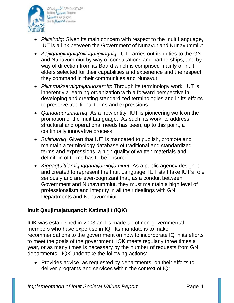

bDNJJ\_pa SCAPRCCCOMERC Building Nunavut Together Nunavulluqatigiingniq Bâtir le Numavut ensemble

- *Pijitsirniq*: Given its main concern with respect to the Inuit Language, IUT is a link between the Government of Nunavut and Nunavummiut.
- *Aajiiqatigiingniq/piliriqatigiingniq*: IUT carries out its duties to the GN and Nunavummiut by way of consultations and partnerships, and by way of direction from its Board which is comprised mainly of Inuit elders selected for their capabilities and experience and the respect they command in their communities and Nunavut.
- *Pilimmaksarniq/pijariuqsarniq*: Through its terminology work, IUT is inherently a learning organization with a forward perspective in developing and creating standardized terminologies and in its efforts to preserve traditional terms and expressions.
- *Qanuqtuurunnarniq*: As a new entity, IUT is pioneering work on the promotion of the Inuit Language. As such, its work to address structural and operational needs has been, up to this point, a continually innovative process.
- *Sulittiarniq*: Given that IUT is mandated to publish, promote and maintain a terminology database of traditional and standardized terms and expressions, a high quality of written materials and definition of terms has to be ensured.
- *Kiggaqtuittiarniq iqqanaijarvigijaminut*: As a public agency designed and created to represent the Inuit Language, IUT staff take IUT's role seriously and are ever-cognizant that, as a conduit between Government and Nunavummiut, they must maintain a high level of professionalism and integrity in all their dealings with GN Departments and Nunavummiut.

# **Inuit Qaujimajatuqangit Katimajiit (IQK)**

IQK was established in 2003 and is made up of non-governmental members who have expertise in IQ. Its mandate is to make recommendations to the government on how to incorporate IQ in its efforts to meet the goals of the government. IQK meets regularly three times a year, or as many times is necessary by the number of requests from GN departments. IQK undertake the following actions:

• Provides advice, as requested by departments, on their efforts to deliver programs and services within the context of IQ;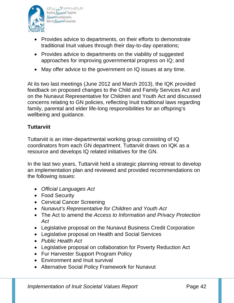

bDNJ\_pa SCAPRECCANESC Building Nunavut Together **Nunavulliugatigiingniq** Bâtir le Numavuf ensemble

- Provides advice to departments, on their efforts to demonstrate traditional Inuit values through their day-to-day operations;
- Provides advice to departments on the viability of suggested approaches for improving governmental progress on IQ; and
- May offer advice to the government on IQ issues at any time.

At its two last meetings (June 2012 and March 2013), the IQK provided feedback on proposed changes to the Child and Family Services Act and on the Nunavut Representative for Children and Youth Act and discussed concerns relating to GN policies, reflecting Inuit traditional laws regarding family, parental and elder life-long responsibilities for an offspring's wellbeing and guidance.

### **Tuttarviit**

Tuttarviit is an inter-departmental working group consisting of IQ coordinators from each GN department. Tuttarviit draws on IQK as a resource and develops IQ related initiatives for the GN.

In the last two years, Tuttarviit held a strategic planning retreat to develop an implementation plan and reviewed and provided recommendations on the following issues:

- *Official Languages Act*
- Food Security
- Cervical Cancer Screening
- *Nunavut's Representative for Children and Youth Act*
- The Act to amend the *Access to Information and Privacy Protection Act*
- Legislative proposal on the Nunavut Business Credit Corporation
- Legislative proposal on Health and Social Services
- *Public Health Act*
- Legislative proposal on collaboration for Poverty Reduction Act
- Fur Harvester Support Program Policy
- Environment and Inuit survival
- Alternative Social Policy Framework for Nunavut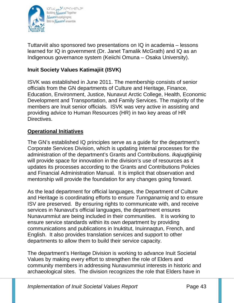

bDNJ\_pa SCAPRECCANESC Building Nunavut Together **Nunavulliugatigiingniq** Bâtir le Numavuf ensemble

Tuttarviit also sponsored two presentations on IQ in academia – lessons learned for IQ in government (Dr. Janet Tamalik McGrath) and IQ as an Indigenous governance system (Keiichi Omuna – Osaka University).

# **Inuit Society Values Katimajiit (ISVK)**

ISVK was established in June 2011. The membership consists of senior officials from the GN departments of Culture and Heritage, Finance, Education, Environment, Justice, Nunavut Arctic College, Health, Economic Development and Transportation, and Family Services. The majority of the members are Inuit senior officials. ISVK was very active in assisting and providing advice to Human Resources (HR) in two key areas of HR Directives.

#### **Operational Initiatives**

The GN's established IQ principles serve as a guide for the department's Corporate Services Division, which is updating internal processes for the administration of the department's Grants and Contributions. *Ikajuqtigiiniq* will provide space for innovation in the division's use of resources as it updates its processes according to the Grants and Contributions Policies and Financial Administration Manual. It is implicit that observation and mentorship will provide the foundation for any changes going forward.

As the lead department for official languages, the Department of Culture and Heritage is coordinating efforts to ensure *Tunnganarniq* and to ensure ISV are preserved*.* By ensuring rights to communicate with, and receive services in Nunavut's official languages, the department ensures Nunavummiut are being included in their communities. It is working to ensure service standards within its own department by providing communications and publications in Inuktitut, Inuinnaqtun, French, and English. It also provides translation services and support to other departments to allow them to build their service capacity.

The department's Heritage Division is working to advance Inuit Societal Values by making every effort to strengthen the role of Elders and community members in addressing Nunavummiut interests in historic and archaeological sites. The division recognizes the role that Elders have in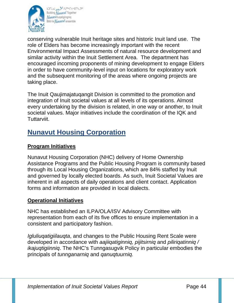

bDNJJ\_pa SCAPRCCCOMERC Building Nunavut Together Nunavulluqatigiingniq Bâtir le Numavuf ensemble

conserving vulnerable Inuit heritage sites and historic Inuit land use. The role of Elders has become increasingly important with the recent Environmental Impact Assessments of natural resource development and similar activity within the Inuit Settlement Area. The department has encouraged incoming proponents of mining development to engage Elders in order to have community-level input on locations for exploratory work and the subsequent monitoring of the areas where ongoing projects are taking place.

The Inuit Qaujimajatuqangit Division is committed to the promotion and integration of Inuit societal values at all levels of its operations. Almost every undertaking by the division is related, in one way or another, to Inuit societal values. Major initiatives include the coordination of the IQK and Tuttarviit.

# **Nunavut Housing Corporation**

### **Program Initiatives**

Nunavut Housing Corporation (NHC) delivery of Home Ownership Assistance Programs and the Public Housing Program is community based through its Local Housing Organizations, which are 84% staffed by Inuit and governed by locally elected boards. As such, Inuit Societal Values are inherent in all aspects of daily operations and client contact. Application forms and information are provided in local dialects.

#### **Operational Initiatives**

NHC has established an ILPA/OLA/ISV Advisory Committee with representation from each of its five offices to ensure implementation in a consistent and participatory fashion.

*Igluliuqatigiilauqta*, and changes to the Public Housing Rent Scale were developed in accordance with *aajiiqatiginniq, pijitsirniq* and *piliriqatinniq / ikajuqtigiinniq*. The NHC's Tunngasugvik Policy in particular embodies the principals of *tunnganarniq* and *qanuqtuurniq.*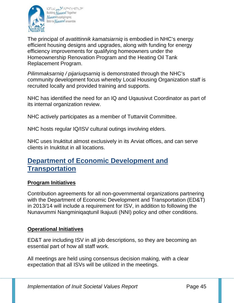

bDNU pa SCAPACCOMERC Building Nunavut Together Nunavulliugatigiingniq Bâtir le *Numavut* ensemble

The principal of *avatittinnik kamatsiarniq* is embodied in NHC's energy efficient housing designs and upgrades, along with funding for energy efficiency improvements for qualifying homeowners under the Homeownership Renovation Program and the Heating Oil Tank Replacement Program.

*Pilimmaksarniq / pijariuqsarniq* is demonstrated through the NHC's community development focus whereby Local Housing Organization staff is recruited locally and provided training and supports.

NHC has identified the need for an IQ and Uqausivut Coordinator as part of its internal organization review.

NHC actively participates as a member of Tuttarviit Committee.

NHC hosts regular IQ/ISV cultural outings involving elders.

NHC uses Inuktitut almost exclusively in its Arviat offices, and can serve clients in Inuktitut in all locations.

# **Department of Economic Development and Transportation**

#### **Program Initiatives**

Contribution agreements for all non-governmental organizations partnering with the Department of Economic Development and Transportation (ED&T) in 2013/14 will include a requirement for ISV, in addition to following the Nunavummi Nangminiqaqtunil Ikajuuti (NNI) policy and other conditions.

#### **Operational Initiatives**

ED&T are including ISV in all job descriptions, so they are becoming an essential part of how all staff work.

All meetings are held using consensus decision making, with a clear expectation that all ISVs will be utilized in the meetings.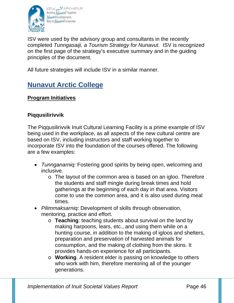

bDNJJ\_pa SCAPRCCCOMERC Building Nunavut Together Nunavulliugatigiingniq Bâtir le *Numavut* ensemble

ISV were used by the advisory group and consultants in the recently completed *Tunngasaiji, a Tourism Strategy for Nunavut*. ISV is recognized on the first page of the strategy's executive summary and in the guiding principles of the document.

All future strategies will include ISV in a similar manner.

# **Nunavut Arctic College**

# **Program Initiatives**

#### **Piqqusilirivvik**

The Piqqusilirivvik Inuit Cultural Learning Facility is a prime example of ISV being used in the workplace, as all aspects of the new cultural centre are based on ISV, including instructors and staff working together to incorporate ISV into the foundation of the courses offered. The following are a few examples:

- *Tunnganarniq:* Fostering good spirits by being open, welcoming and inclusive.
	- o The layout of the common area is based on an igloo. Therefore the students and staff mingle during break times and hold gatherings at the beginning of each day in that area. Visitors come to use the common area, and it is also used during meal times.
- *Pilimmaksarniq:* Development of skills through observation, mentoring, practice and effort.
	- o **Teaching**: teaching students about survival on the land by making harpoons, lears, etc., and using them while on a hunting course, in addition to the making of igloos and shelters, preparation and preservation of harvested animals for consumption, and the making of clothing from the skins. It provides hands-on experience for all participants.
	- o **Working**. A resident elder is passing on knowledge to others who work with him, therefore mentoring all of the younger generations.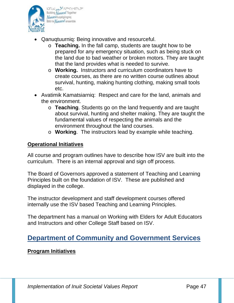

- Qanuqtuurniq: Being innovative and resourceful.
	- o **Teaching.** In the fall camp, students are taught how to be prepared for any emergency situation, such as being stuck on the land due to bad weather or broken motors. They are taught that the land provides what is needed to survive.
	- o **Working.** Instructors and curriculum coordinators have to create courses, as there are no written course outlines about survival, hunting, making hunting clothing, making small tools etc.
- Avatimik Kamatsiarniq: Respect and care for the land, animals and the environment.
	- o **Teaching**. Students go on the land frequently and are taught about survival, hunting and shelter making. They are taught the fundamental values of respecting the animals and the environment throughout the land courses.
	- o **Working**. The instructors lead by example while teaching.

#### **Operational Initiatives**

All course and program outlines have to describe how ISV are built into the curriculum. There is an internal approval and sign off process.

The Board of Governors approved a statement of Teaching and Learning Principles built on the foundation of ISV. These are published and displayed in the college.

The instructor development and staff development courses offered internally use the ISV based Teaching and Learning Principles.

The department has a manual on Working with Elders for Adult Educators and Instructors and other College Staff based on ISV.

# **Department of Community and Government Services**

#### **Program Initiatives**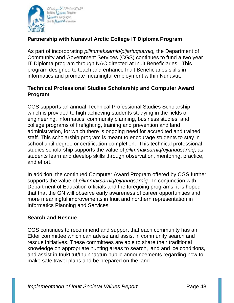

### **Partnership with Nunavut Arctic College IT Diploma Program**

As part of incorporating *pilimmaksarniq/pijariuqsarniq,* the Department of Community and Government Services (CGS) continues to fund a two year IT Diploma program through NAC directed at Inuit Beneficiaries. This program designed to teach and enhance Inuit Beneficiaries skills in informatics and promote meaningful employment within Nunavut.

#### **Technical Professional Studies Scholarship and Computer Award Program**

CGS supports an annual Technical Professional Studies Scholarship, which is provided to high achieving students studying in the fields of engineering, informatics, community planning, business studies, and college programs of firefighting, training and prevention and land administration, for which there is ongoing need for accredited and trained staff. This scholarship program is meant to encourage students to stay in school until degree or certification completion. This technical professional studies scholarship supports the value of *pilimmaksarniq/pijariuqsarniq*, as students learn and develop skills through observation, mentoring**,** practice, and effort.

In addition, the continued Computer Award Program offered by CGS further supports the value of *pilimmaksarniq/pijariuqsarniq*. In conjunction with Department of Education officials and the foregoing programs, it is hoped that that the GN will observe early awareness of career opportunities and more meaningful improvements in Inuit and northern representation in Informatics Planning and Services.

#### **Search and Rescue**

CGS continues to recommend and support that each community has an Elder committee which can advise and assist in community search and rescue initiatives. These committees are able to share their traditional knowledge on appropriate hunting areas to search, land and ice conditions, and assist in Inuktitut/Inuinnaqtun public announcements regarding how to make safe travel plans and be prepared on the land.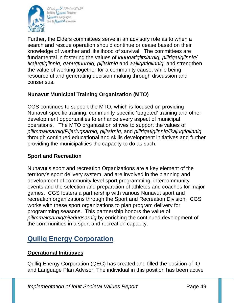

bDNJ\_pa SCAPRECCANESC Building Nunavut Together **Nunavulliugatigiingniq** Bâtir le Numavuf ensemble

Further, the Elders committees serve in an advisory role as to when a search and rescue operation should continue or cease based on their knowledge of weather and likelihood of survival. The committees are fundamental in fostering the values of *inuuqatigiitsiarniq, piliriqatigiinniq/ Ikajuqtigiinniq, qanuqtuurniq, pijitsirniq* and *aajiiqatigiinniq*, and strengthen the value of working together for a community cause, while being resourceful and generating decision making through discussion and consensus.

# **Nunavut Municipal Training Organization (MTO)**

CGS continues to support the MTO**,** which is focused on providing Nunavut-specific training, community-specific 'targeted' training and other development opportunities to enhance every aspect of municipal operations. The MTO organization strives to support the values of *pilimmaksarniq/Pijariuqsarniq, pijitsirniq,* and *piliriqatigiinniq/ikajuqtigiinniq* through continued educational and skills development initiatives and further providing the municipalities the capacity to do as such**.**

#### **Sport and Recreation**

Nunavut's sport and recreation Organizations are a key element of the territory's sport delivery system, and are involved in the planning and development of community level sport programming, intercommunity events and the selection and preparation of athletes and coaches for major games. CGS fosters a partnership with various Nunavut sport and recreation organizations through the Sport and Recreation Division. CGS works with these sport organizations to plan program delivery for programming seasons. This partnership honors the value of *pilimmaksarniq/pijariuqsarniq* by enriching the continued development of the communities in a sport and recreation capacity.

# **Qulliq Energy Corporation**

#### **Operational Inititiaves**

Qulliq Energy Corporation (QEC) has created and filled the position of IQ and Language Plan Advisor. The individual in this position has been active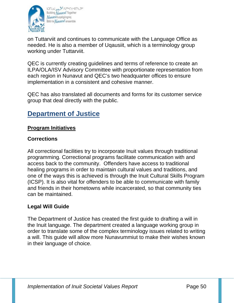

bDNJ\_pa SCAPRECCANESC Building Nunavut Together Nunavulliuqatigiingniq Bâtir le Numavuf ensemble

on Tuttarviit and continues to communicate with the Language Office as needed. He is also a member of Uqausiit, which is a terminology group working under Tuttarviit.

QEC is currently creating guidelines and terms of reference to create an ILPA/OLA/ISV Advisory Committee with proportionate representation from each region in Nunavut and QEC's two headquarter offices to ensure implementation in a consistent and cohesive manner.

QEC has also translated all documents and forms for its customer service group that deal directly with the public.

# **Department of Justice**

# **Program Initiatives**

# **Corrections**

All correctional facilities try to incorporate Inuit values through traditional programming. Correctional programs facilitate communication with and access back to the community. Offenders have access to traditional healing programs in order to maintain cultural values and traditions, and one of the ways this is achieved is through the Inuit Cultural Skills Program (ICSP). It is also vital for offenders to be able to communicate with family and friends in their hometowns while incarcerated, so that community ties can be maintained.

#### **Legal Will Guide**

The Department of Justice has created the first guide to drafting a will in the Inuit language. The department created a language working group in order to translate some of the complex terminology issues related to writing a will. This guide will allow more Nunavummiut to make their wishes known in their language of choice.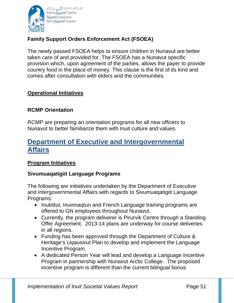

# **Family Support Orders Enforcement Act (FSOEA)**

The newly passed FSOEA helps to ensure children in Nunavut are better taken care of and provided for. The FSOEA has a Nunavut specific provision which, upon agreement of the parties, allows the payer to provide country food in the place of money. This clause is the first of its kind and comes after consultation with elders and the communities.

#### **Operational Initiatives**

#### **RCMP Orientation**

RCMP are preparing an orientation programs for all new officers to Nunavut to better familiarize them with Inuit culture and values.

# **Department of Executive and Intergovernmental Affairs**

#### **Program Initiatives**

#### **Sivumuaqatigiit Language Programs**

The following are initiatives undertaken by the Department of Executive and Intergovernmental Affairs with regards to Sivumuaqatigiit Language Programs:

- Inuktitut, Inuinnaqtun and French Language training programs are offered to GN employees throughout Nunavut.
- Currently, the program deliverer is Pirurvik Centre through a Standing Offer Agreement. 2013-14 plans are underway for course deliveries in all regions.
- Funding has been approved through the Department of Culture & Heritage's *Uqausivut* Plan to develop and implement the Language Incentive Program.
- A dedicated Person Year will lead and develop a Language Incentive Program in partnership with Nunavut Arctic College. The proposed incentive program is different than the current bilingual bonus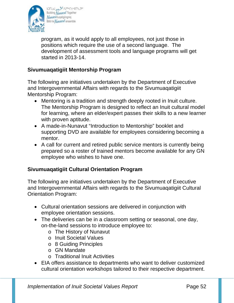

program, as it would apply to all employees, not just those in positions which require the use of a second language. The development of assessment tools and language programs will get started in 2013-14.

#### **Sivumuaqatigiit Mentorship Program**

The following are initiatives undertaken by the Department of Executive and Intergovernmental Affairs with regards to the Sivumuaqatigiit Mentorship Program:

- Mentoring is a tradition and strength deeply rooted in Inuit culture. The Mentorship Program is designed to reflect an Inuit cultural model for learning, where an elder/expert passes their skills to a new learner with proven aptitude.
- A made-in-Nunavut "Introduction to Mentorship" booklet and supporting DVD are available for employees considering becoming a mentor.
- A call for current and retired public service mentors is currently being prepared so a roster of trained mentors become available for any GN employee who wishes to have one.

#### **Sivumuaqatigiit Cultural Orientation Program**

The following are initiatives undertaken by the Department of Executive and Intergovernmental Affairs with regards to the Sivumuaqatigiit Cultural Orientation Program:

- Cultural orientation sessions are delivered in conjunction with employee orientation sessions.
- The deliveries can be in a classroom setting or seasonal, one day, on-the-land sessions to introduce employee to:
	- o The History of Nunavut
	- o Inuit Societal Values
	- o 8 Guiding Principles
	- o GN Mandate
	- o Traditional Inuit Activities
- EIA offers assistance to departments who want to deliver customized cultural orientation workshops tailored to their respective department.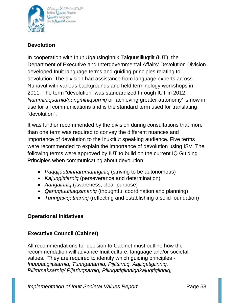

bJNJJ\_pa.<sup>35</sup>APR<4c191290 Building *Nunavut* Together **Nunavulliugatigiingniq** Bâtir le Numavuf ensemble

# **Devolution**

In cooperation with Inuit Uqausinginnik Taiguusiliuqtiit (IUT), the Department of Executive and Intergovernmental Affairs' Devolution Division developed Inuit language terms and guiding principles relating to devolution. The division had assistance from language experts across Nunavut with various backgrounds and held terminology workshops in 2011. The term "devolution" was standardized through IUT in 2012. *Namminiqsurniq/nangminiqsurniq* or 'achieving greater autonomy' is now in use for all communications and is the standard term used for translating "devolution".

It was further recommended by the division during consultations that more than one term was required to convey the different nuances and importance of devolution to the Inuktitut speaking audience. Five terms were recommended to explain the importance of devolution using ISV. The following terms were approved by IUT to build on the current IQ Guiding Principles when communicating about devolution:

- *Paqqijautuinnarumannginiq* (striving to be autonomous)
- *Kajungittiarniq* (perseverance and determination)
- *Aangainniq* (awareness, clear purpose)
- *Qanuqtuuttiaqsimaniq* (thoughtful coordination and planning)
- *Tunngaviqattiarniq* (reflecting and establishing a solid foundation)

# **Operational Initiatives**

# **Executive Council (Cabinet)**

All recommendations for decision to Cabinet must outline how the recommendation will advance Inuit culture, language and/or societal values. They are required to identify which guiding principles - *Inuuqatigiitsiarniq, Tunnganarniq, Pijitsirniq, Aajiiqatigiinniq, Pilimmaksarniq/ Pijariuqsarniq, Piliriqatigiinniq/Ikajuqtigiinniq,*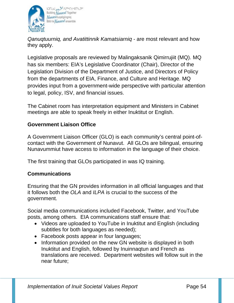

bDNJ\_pa SCAPRCCCOMERC Building Nunavut Together **Nunavuliugatigiingnig** Bâtir le *Numavut* ensemble

*Qanuqtuurniq, and Avatittinnik Kamatsiarniq -* are most relevant and how they apply.

Legislative proposals are reviewed by Malingaksanik Qimirrujiit (MQ). MQ has six members: EIA's Legislative Coordinator (Chair), Director of the Legislation Division of the Department of Justice, and Directors of Policy from the departments of EIA, Finance, and Culture and Heritage. MQ provides input from a government-wide perspective with particular attention to legal, policy, ISV, and financial issues.

The Cabinet room has interpretation equipment and Ministers in Cabinet meetings are able to speak freely in either Inuktitut or English.

# **Government Liaison Office**

A Government Liaison Officer (GLO) is each community's central point-ofcontact with the Government of Nunavut. All GLOs are bilingual, ensuring Nunavummiut have access to information in the language of their choice.

The first training that GLOs participated in was IQ training.

#### **Communications**

Ensuring that the GN provides information in all official languages and that it follows both the *OLA* and *ILPA* is crucial to the success of the government.

Social media communications included Facebook, Twitter, and YouTube posts, among others. EIA communications staff ensure that:

- Videos are uploaded to YouTube in Inuktitut and English (including subtitles for both languages as needed);
- Facebook posts appear in four languages;
- Information provided on the new GN website is displayed in both Inuktitut and English, followed by Inuinnaqtun and French as translations are received. Department websites will follow suit in the near future;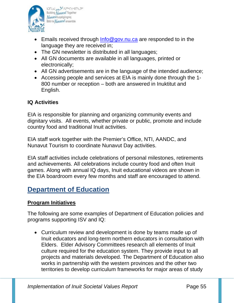

bDNJ\_pa SCAPRECCANESC Building Nunavut Together Nunavulliuqatigiingniq Bâtir le Numavuf ensemble

- Emails received through Info@gov.nu.ca are responded to in the language they are received in;
- The GN newsletter is distributed in all languages;
- All GN documents are available in all languages, printed or electronically;
- All GN advertisements are in the language of the intended audience;
- Accessing people and services at EIA is mainly done through the 1- 800 number or reception – both are answered in Inuktitut and English.

#### **IQ Activities**

EIA is responsible for planning and organizing community events and dignitary visits. All events, whether private or public, promote and include country food and traditional Inuit activities.

EIA staff work together with the Premier's Office, NTI, AANDC, and Nunavut Tourism to coordinate Nunavut Day activities.

EIA staff activities include celebrations of personal milestones, retirements and achievements. All celebrations include country food and often Inuit games. Along with annual IQ days, Inuit educational videos are shown in the EIA boardroom every few months and staff are encouraged to attend.

# **Department of Education**

#### **Program Initiatives**

The following are some examples of Department of Education policies and programs supporting ISV and IQ:

• Curriculum review and development is done by teams made up of Inuit educators and long-term northern educators in consultation with Elders. Elder Advisory Committees research all elements of Inuit culture required for the education system. They provide input to all projects and materials developed. The Department of Education also works in partnership with the western provinces and the other two territories to develop curriculum frameworks for major areas of study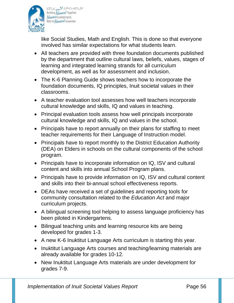

band pass none est Building Nunavuf Together Nunavulluqatigiingniq Bâtir le Numavuf ensemble

like Social Studies, Math and English. This is done so that everyone involved has similar expectations for what students learn.

- All teachers are provided with three foundation documents published by the department that outline cultural laws, beliefs, values, stages of learning and integrated learning strands for all curriculum development, as well as for assessment and inclusion.
- The K-6 Planning Guide shows teachers how to incorporate the foundation documents, IQ principles, Inuit societal values in their classrooms.
- A teacher evaluation tool assesses how well teachers incorporate cultural knowledge and skills, IQ and values in teaching.
- Principal evaluation tools assess how well principals incorporate cultural knowledge and skills, IQ and values in the school.
- Principals have to report annually on their plans for staffing to meet teacher requirements for their Language of Instruction model.
- Principals have to report monthly to the District Education Authority (DEA) on Elders in schools on the cultural components of the school program.
- Principals have to incorporate information on IQ, ISV and cultural content and skills into annual School Program plans.
- Principals have to provide information on IQ, ISV and cultural content and skills into their bi-annual school effectiveness reports.
- DEAs have received a set of guidelines and reporting tools for community consultation related to the *Education Act* and major curriculum projects.
- A bilingual screening tool helping to assess language proficiency has been piloted in Kindergartens.
- Bilingual teaching units and learning resource kits are being developed for grades 1-3.
- A new K-6 Inuktitut Language Arts curriculum is starting this year.
- Inuktitut Language Arts courses and teaching/learning materials are already available for grades 10-12.
- New Inuktitut Language Arts materials are under development for grades 7-9.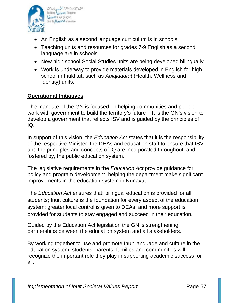

- band pass none est Building Nunavut Together Nunavulluqatigiingniq Bâtir le Numavuf ensemble
- An English as a second language curriculum is in schools.
- Teaching units and resources for grades 7-9 English as a second language are in schools.
- New high school Social Studies units are being developed bilingually.
- Work is underway to provide materials developed in English for high school in Inuktitut, such as *Aulajaaqtut* (Health, Wellness and Identity) units.

# **Operational Initiatives**

The mandate of the GN is focused on helping communities and people work with government to build the territory's future . It is the GN's vision to develop a government that reflects ISV and is guided by the principles of IQ.

In support of this vision, the *Education Act* states that it is the responsibility of the respective Minister, the DEAs and education staff to ensure that ISV and the principles and concepts of IQ are incorporated throughout, and fostered by, the public education system.

The legislative requirements in the *Education Act* provide guidance for policy and program development, helping the department make significant improvements in the education system in Nunavut.

The *Education Act* ensures that: bilingual education is provided for all students; Inuit culture is the foundation for every aspect of the education system; greater local control is given to DEAs; and more support is provided for students to stay engaged and succeed in their education.

Guided by the Education Act legislation the GN is strengthening partnerships between the education system and all stakeholders.

By working together to use and promote Inuit language and culture in the education system, students, parents, families and communities will recognize the important role they play in supporting academic success for all.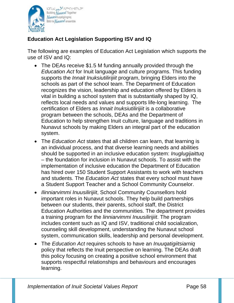

# **Education Act Legislation Supporting ISV and IQ**

The following are examples of Education Act Legislation which supports the use of ISV and IQ:

- The DEAs receive \$1.5 M funding annually provided through the *Education Act* for Inuit language and culture programs. This funding supports the *Innait Inuksiutilirijiit* program, bringing Elders into the schools as part of the school team. The Department of Education recognizes the vision, leadership and education offered by Elders is vital in building a school system that is substantially shaped by IQ, reflects local needs and values and supports life-long learning. The certification of Elders as *Innait Inuksiutilirijiit* is a collaborative program between the schools, DEAs and the Department of Education to help strengthen Inuit culture, language and traditions in Nunavut schools by making Elders an integral part of the education system.
- The *Education Act* states that all children can learn, that learning is an individual process, and that diverse learning needs and abilities should be supported in an inclusive education system: *Inuglugijaittuq*  – the foundation for inclusion in Nunavut schools. To assist with the implementation of inclusive education the Department of Education has hired over 150 Student Support Assistants to work with teachers and students. The *Education Act* states that every school must have a Student Support Teacher and a School Community Counselor.
- *Ilinniarvimmi Inuusilirijiit*, School Community Counsellors hold important roles in Nunavut schools. They help build partnerships between our students, their parents, school staff, the District Education Authorities and the communities. The department provides a training program for the *linniarvimmi Inuusilirijiit*. The program includes content such as IQ and ISV, traditional child socialization, counseling skill development, understanding the Nunavut school system, communication skills, leadership and personal development.
- The *Education Act* requires schools to have an *Inuuqatigiitsiarniq*  policy that reflects the Inuit perspective on learning. The DEAs draft this policy focusing on creating a positive school environment that supports respectful relationships and behaviours and encourages learning.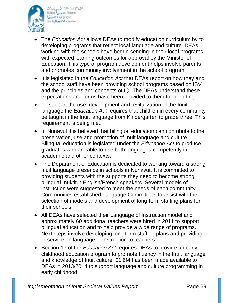

bDNJJ\_pa SCAPRCCCOMERC Building Nunavut Together Nunavulluqatigiingniq Bâtir le Numavuf ensemble

- The *Education Act* allows DEAs to modify education curriculum by to developing programs that reflect local language and culture. DEAs, working with the schools have begun sending in their local programs with expected learning outcomes for approval by the Minister of Education. This type of program development helps involve parents and promotes community involvement in the school program.
- It is legislated in the *Education Act* that DEAs report on how they and the school staff have been providing school programs based on ISV and the principles and concepts of IQ. The DEAs understand these expectations and forms have been provided to them for reporting.
- To support the use, development and revitalization of the Inuit language the *Education Act* requires that children in every community be taught in the Inuit language from Kindergarten to grade three. This requirement is being met.
- In Nunavut it is believed that bilingual education can contribute to the preservation, use and promotion of Inuit language and culture. Bilingual education is legislated under the *Education Act* to produce graduates who are able to use both languages competently in academic and other contexts.
- The Department of Education is dedicated to working toward a strong Inuit language presence in schools in Nunavut. It is committed to providing students with the supports they need to become strong bilingual Inuktitut-English/French speakers. Several models of instruction were suggested to meet the needs of each community. Communities established Language Committees to assist with the selection of models and development of long-term staffing plans for their schools.
- All DEAs have selected their Language of Instruction model and approximately 60 additional teachers were hired in 2011 to support bilingual education and to help provide a wide range of programs. Next steps involve developing long term staffing plans and providing in-service on language of instruction to teachers.
- Section 17 of the *Education Act* requires DEAs to provide an early childhood education program to promote fluency in the Inuit language and knowledge of Inuit culture. \$1.6M has been made available to DEAs in 2013/2014 to support language and culture programming in early childhood.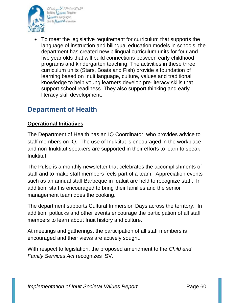

bDNJJ\_pa SCAPRCCCOMERC Building Nunavut Together Nunavulluqatigiingniq Bâtir le Numavuf ensemble

• To meet the legislative requirement for curriculum that supports the language of instruction and bilingual education models in schools, the department has created new bilingual curriculum units for four and five year olds that will build connections between early childhood programs and kindergarten teaching. The activities in these three curriculum units (Stars, Boats and Fish) provide a foundation of learning based on Inuit language, culture, values and traditional knowledge to help young learners develop pre-literacy skills that support school readiness. They also support thinking and early literacy skill development.

# **Department of Health**

# **Operational Initiatives**

The Department of Health has an IQ Coordinator, who provides advice to staff members on IQ. The use of Inuktitut is encouraged in the workplace and non-Inuktitut speakers are supported in their efforts to learn to speak Inuktitut.

The Pulse is a monthly newsletter that celebrates the accomplishments of staff and to make staff members feels part of a team. Appreciation events such as an annual staff Barbeque in Iqaluit are held to recognize staff. In addition, staff is encouraged to bring their families and the senior management team does the cooking.

The department supports Cultural Immersion Days across the territory. In addition, potlucks and other events encourage the participation of all staff members to learn about Inuit history and culture.

At meetings and gatherings, the participation of all staff members is encouraged and their views are actively sought.

With respect to legislation, the proposed amendment to the *Child and Family Services Act* recognizes ISV.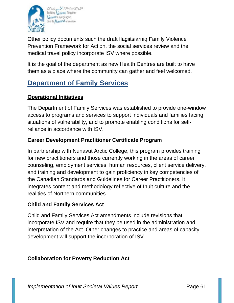

bDNJ\_pa SCAPRECCANESC Building Nunavut Together **Nunavulliugatigiingniq** Bâtir le Numavuf ensemble

Other policy documents such the draft Ilagiitsiarniq Family Violence Prevention Framework for Action, the social services review and the medical travel policy incorporate ISV where possible.

It is the goal of the department as new Health Centres are built to have them as a place where the community can gather and feel welcomed.

# **Department of Family Services**

### **Operational Initiatives**

The Department of Family Services was established to provide one-window access to programs and services to support individuals and families facing situations of vulnerability, and to promote enabling conditions for selfreliance in accordance with ISV.

# **Career Development Practitioner Certificate Program**

In partnership with Nunavut Arctic College, this program provides training for new practitioners and those currently working in the areas of career counseling, employment services, human resources, client service delivery, and training and development to gain proficiency in key competencies of the Canadian Standards and Guidelines for Career Practitioners. It integrates content and methodology reflective of Inuit culture and the realities of Northern communities.

#### **Child and Family Services Act**

Child and Family Services Act amendments include revisions that incorporate ISV and require that they be used in the administration and interpretation of the Act. Other changes to practice and areas of capacity development will support the incorporation of ISV.

# **Collaboration for Poverty Reduction Act**